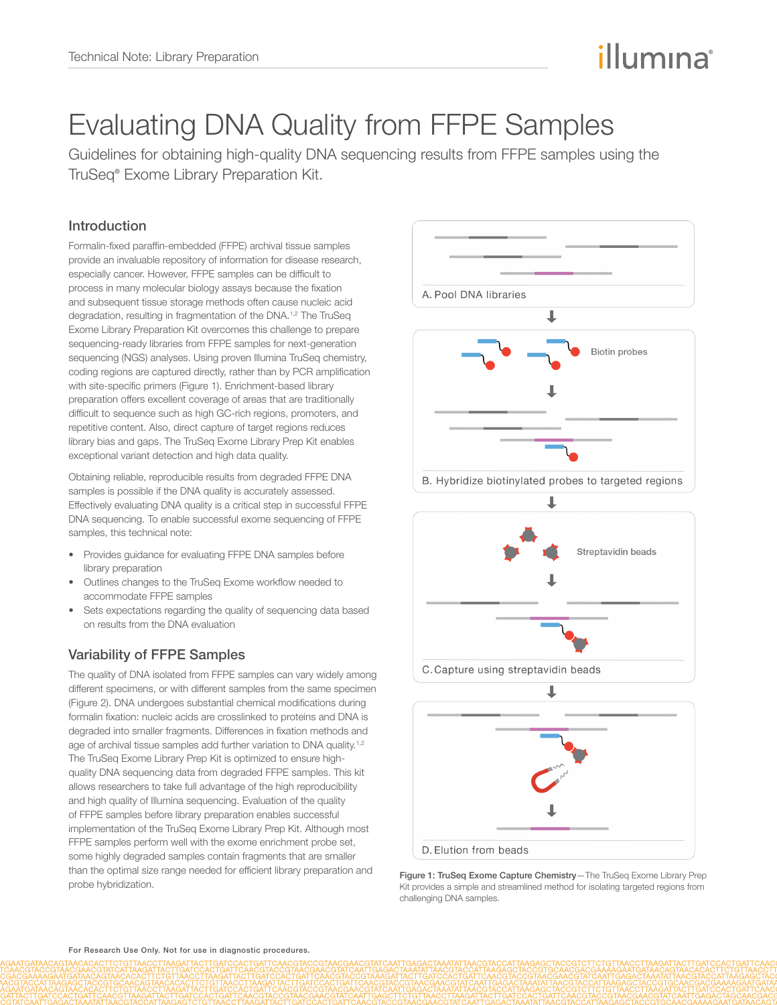# illumına

## Evaluating DNA Quality from FFPE Samples

Guidelines for obtaining high-quality DNA sequencing results from FFPE samples using the TruSeq® Exome Library Preparation Kit.

### Introduction

Formalin-fixed paraffin-embedded (FFPE) archival tissue samples provide an invaluable repository of information for disease research, especially cancer. However, FFPE samples can be difficult to process in many molecular biology assays because the fixation and subsequent tissue storage methods often cause nucleic acid degradation, resulting in fragmentation of the DNA.<sup>1,2</sup> The TruSeq Exome Library Preparation Kit overcomes this challenge to prepare sequencing-ready libraries from FFPE samples for next-generation sequencing (NGS) analyses. Using proven Illumina TruSeq chemistry, coding regions are captured directly, rather than by PCR amplification with site-specific primers (Figure 1). Enrichment-based library preparation offers excellent coverage of areas that are traditionally difficult to sequence such as high GC-rich regions, promoters, and repetitive content. Also, direct capture of target regions reduces library bias and gaps. The TruSeq Exome Library Prep Kit enables exceptional variant detection and high data quality.

Obtaining reliable, reproducible results from degraded FFPE DNA samples is possible if the DNA quality is accurately assessed. Effectively evaluating DNA quality is a critical step in successful FFPE DNA sequencing. To enable successful exome sequencing of FFPE samples, this technical note:

- Provides guidance for evaluating FFPE DNA samples before library preparation
- Outlines changes to the TruSeq Exome workflow needed to accommodate FFPE samples
- Sets expectations regarding the quality of sequencing data based on results from the DNA evaluation

## Variability of FFPE Samples

The quality of DNA isolated from FFPE samples can vary widely among different specimens, or with different samples from the same specimen (Figure 2). DNA undergoes substantial chemical modifications during formalin fixation: nucleic acids are crosslinked to proteins and DNA is degraded into smaller fragments. Differences in fixation methods and age of archival tissue samples add further variation to DNA quality.<sup>[1](#page-3-0),[2](#page-3-1)</sup> The TruSeq Exome Library Prep Kit is optimized to ensure highquality DNA sequencing data from degraded FFPE samples. This kit allows researchers to take full advantage of the high reproducibility and high quality of Illumina sequencing. Evaluation of the quality of FFPE samples before library preparation enables successful implementation of the TruSeq Exome Library Prep Kit. Although most FFPE samples perform well with the exome enrichment probe set, some highly degraded samples contain fragments that are smaller than the optimal size range needed for efficient library preparation and probe hybridization.



Figure 1: TruSeq Exome Capture Chemistry—The TruSeq Exome Library Prep Kit provides a simple and streamlined method for isolating targeted regions from challenging DNA samples.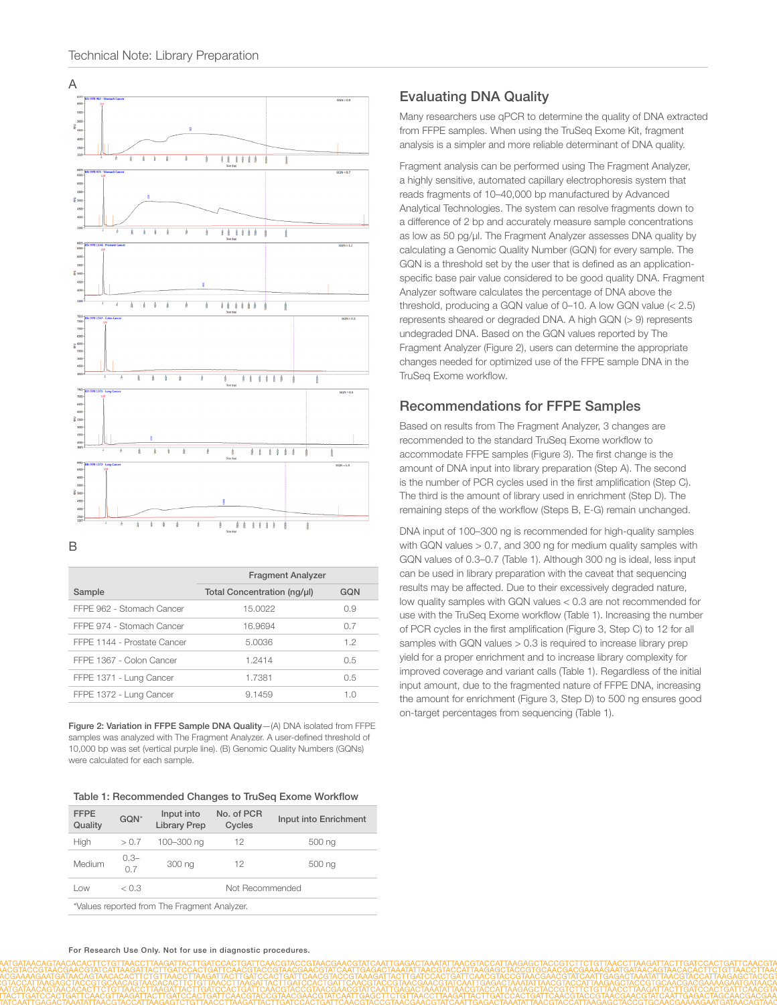

| <b>Fragment Analyzer</b>    |     |  |
|-----------------------------|-----|--|
| Total Concentration (ng/µl) | GON |  |
| 15.0022                     | 0.9 |  |
| 16.9694                     | 0.7 |  |
| 5.0036                      | 1.2 |  |
| 1.2414                      | 0.5 |  |
| 1.7381                      | 0.5 |  |
| 9.1459                      | 1.0 |  |
|                             |     |  |

Figure 2: Variation in FFPE Sample DNA Quality—(A) DNA isolated from FFPE samples was analyzed with The Fragment Analyzer. A user-defined threshold of 10,000 bp was set (vertical purple line). (B) Genomic Quality Numbers (GQNs) were calculated for each sample.

| Table 1: Recommended Changes to TruSeg Exome Workflow |
|-------------------------------------------------------|
|-------------------------------------------------------|

| <b>FFPE</b><br>Quality                       | GQN*          | Input into<br><b>Library Prep</b> | No. of PCR<br>Cycles | Input into Enrichment |  |
|----------------------------------------------|---------------|-----------------------------------|----------------------|-----------------------|--|
| High                                         | > 0.7         | 100-300 ng                        | 12                   | 500 ng                |  |
| Medium                                       | $0.3 -$<br>07 | 300 ng                            | 12                   | 500 ng                |  |
| Low                                          | < 0.3         | Not Recommended                   |                      |                       |  |
| *Values reported from The Fragment Analyzer. |               |                                   |                      |                       |  |

#### Evaluating DNA Quality

Many researchers use qPCR to determine the quality of DNA extracted from FFPE samples. When using the TruSeq Exome Kit, fragment analysis is a simpler and more reliable determinant of DNA quality.

Fragment analysis can be performed using The Fragment Analyzer, a highly sensitive, automated capillary electrophoresis system that reads fragments of 10–40,000 bp manufactured by Advanced Analytical Technologies. The system can resolve fragments down to a difference of 2 bp and accurately measure sample concentrations as low as 50 pg/µl. The Fragment Analyzer assesses DNA quality by calculating a Genomic Quality Number (GQN) for every sample. The GQN is a threshold set by the user that is defined as an applicationspecific base pair value considered to be good quality DNA. Fragment Analyzer software calculates the percentage of DNA above the threshold, producing a GQN value of 0–10. A low GQN value (< 2.5) represents sheared or degraded DNA. A high GQN (> 9) represents undegraded DNA. Based on the GQN values reported by The Fragment Analyzer (Figure 2), users can determine the appropriate changes needed for optimized use of the FFPE sample DNA in the TruSeq Exome workflow.

#### Recommendations for FFPE Samples

Based on results from The Fragment Analyzer, 3 changes are recommended to the standard TruSeq Exome workflow to accommodate FFPE samples (Figure 3). The first change is the amount of DNA input into library preparation (Step A). The second is the number of PCR cycles used in the first amplification (Step C). The third is the amount of library used in enrichment (Step D). The remaining steps of the workflow (Steps B, E-G) remain unchanged.

DNA input of 100–300 ng is recommended for high-quality samples with GQN values > 0.7, and 300 ng for medium quality samples with GQN values of 0.3–0.7 (Table 1). Although 300 ng is ideal, less input can be used in library preparation with the caveat that sequencing results may be affected. Due to their excessively degraded nature, low quality samples with GQN values < 0.3 are not recommended for use with the TruSeq Exome workflow (Table 1). Increasing the number of PCR cycles in the first amplification (Figure 3, Step C) to 12 for all samples with GQN values  $> 0.3$  is required to increase library prep yield for a proper enrichment and to increase library complexity for improved coverage and variant calls (Table 1). Regardless of the initial input amount, due to the fragmented nature of FFPE DNA, increasing the amount for enrichment (Figure 3, Step D) to 500 ng ensures good on-target percentages from sequencing (Table 1).

For Research Use Only. Not for use in diagnostic procedures.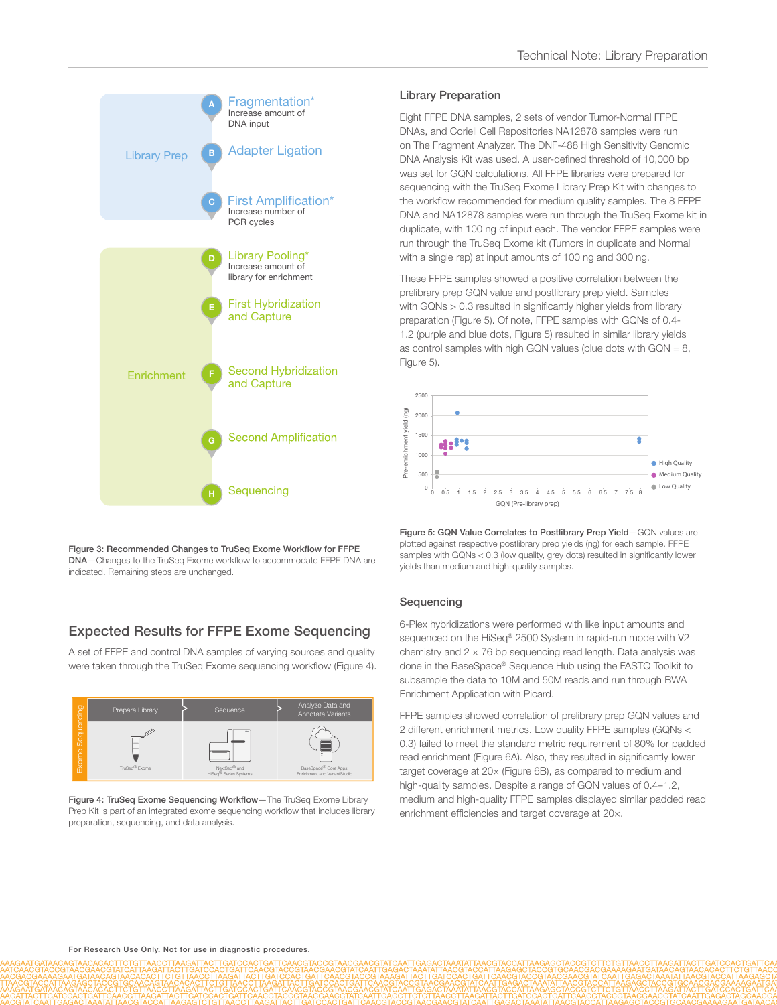

Figure 3: Recommended Changes to TruSeq Exome Workflow for FFPE DNA—Changes to the TruSeq Exome workflow to accommodate FFPE DNA are indicated. Remaining steps are unchanged.

## Expected Results for FFPE Exome Sequencing

A set of FFPE and control DNA samples of varying sources and quality were taken through the TruSeq Exome sequencing workflow (Figure 4).



Figure 4: TruSeq Exome Sequencing Workflow—The TruSeq Exome Library Prep Kit is part of an integrated exome sequencing workflow that includes library preparation, sequencing, and data analysis.

#### Library Preparation

Eight FFPE DNA samples, 2 sets of vendor Tumor-Normal FFPE DNAs, and Coriell Cell Repositories NA12878 samples were run on The Fragment Analyzer. The DNF-488 High Sensitivity Genomic DNA Analysis Kit was used. A user-defined threshold of 10,000 bp was set for GQN calculations. All FFPE libraries were prepared for sequencing with the TruSeq Exome Library Prep Kit with changes to the workflow recommended for medium quality samples. The 8 FFPE DNA and NA12878 samples were run through the TruSeq Exome kit in duplicate, with 100 ng of input each. The vendor FFPE samples were run through the TruSeq Exome kit (Tumors in duplicate and Normal with a single rep) at input amounts of 100 ng and 300 ng.

These FFPE samples showed a positive correlation between the prelibrary prep GQN value and postlibrary prep yield. Samples with GQNs > 0.3 resulted in significantly higher yields from library preparation (Figure 5). Of note, FFPE samples with GQNs of 0.4- 1.2 (purple and blue dots, Figure 5) resulted in similar library yields as control samples with high GQN values (blue dots with GQN =  $8$ , Figure 5).



Figure 5: GQN Value Correlates to Postlibrary Prep Yield-GQN values are plotted against respective postlibrary prep yields (ng) for each sample. FFPE samples with GQNs < 0.3 (low quality, grey dots) resulted in significantly lower yields than medium and high-quality samples.

#### Sequencing

6-Plex hybridizations were performed with like input amounts and sequenced on the HiSeq® 2500 System in rapid-run mode with V2 chemistry and  $2 \times 76$  bp sequencing read length. Data analysis was done in the BaseSpace® Sequence Hub using the FASTQ Toolkit to subsample the data to 10M and 50M reads and run through BWA Enrichment Application with Picard.

FFPE samples showed correlation of prelibrary prep GQN values and 2 different enrichment metrics. Low quality FFPE samples (GQNs < 0.3) failed to meet the standard metric requirement of 80% for padded read enrichment (Figure 6A). Also, they resulted in significantly lower target coverage at 20× (Figure 6B), as compared to medium and high-quality samples. Despite a range of GQN values of 0.4–1.2, medium and high-quality FFPE samples displayed similar padded read enrichment efficiencies and target coverage at 20×.